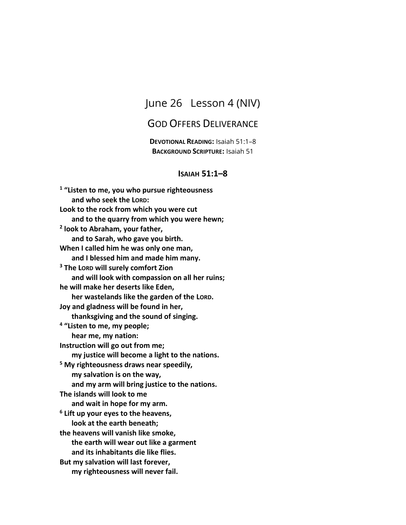# June 26 Lesson 4 (NIV)

## GOD OFFERS DELIVERANCE

**DEVOTIONAL READING:** Isaiah 51:1–8 **BACKGROUND SCRIPTURE:** Isaiah 51

### **ISAIAH 51:1–8**

**1 "Listen to me, you who pursue righteousness and who seek the LORD: Look to the rock from which you were cut and to the quarry from which you were hewn; 2 look to Abraham, your father, and to Sarah, who gave you birth. When I called him he was only one man, and I blessed him and made him many. <sup>3</sup> The LORD will surely comfort Zion and will look with compassion on all her ruins; he will make her deserts like Eden, her wastelands like the garden of the LORD. Joy and gladness will be found in her, thanksgiving and the sound of singing. 4 "Listen to me, my people; hear me, my nation: Instruction will go out from me; my justice will become a light to the nations. <sup>5</sup> My righteousness draws near speedily, my salvation is on the way, and my arm will bring justice to the nations. The islands will look to me and wait in hope for my arm. 6 Lift up your eyes to the heavens, look at the earth beneath; the heavens will vanish like smoke, the earth will wear out like a garment and its inhabitants die like flies. But my salvation will last forever, my righteousness will never fail.**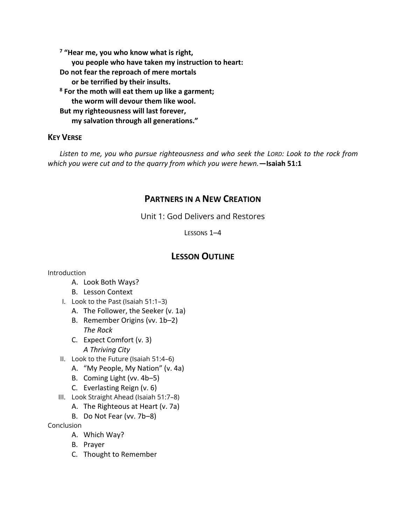**7 "Hear me, you who know what is right, you people who have taken my instruction to heart: Do not fear the reproach of mere mortals or be terrified by their insults. <sup>8</sup> For the moth will eat them up like a garment; the worm will devour them like wool. But my righteousness will last forever, my salvation through all generations."**

## **KEY VERSE**

*Listen to me, you who pursue righteousness and who seek the LORD: Look to the rock from which you were cut and to the quarry from which you were hewn.***—Isaiah 51:1**

## **PARTNERS IN A NEW CREATION**

Unit 1: God Delivers and Restores

LESSONS 1–4

## **LESSON OUTLINE**

Introduction

- A. Look Both Ways?
- B. Lesson Context
- I. Look to the Past (Isaiah 51:1–3)
	- A. The Follower, the Seeker (v. 1a)
	- B. Remember Origins (vv. 1b–2) *The Rock*
	- C. Expect Comfort (v. 3) *A Thriving City*
- II. Look to the Future (Isaiah 51:4–6)
	- A. "My People, My Nation" (v. 4a)
	- B. Coming Light (vv. 4b–5)
	- C. Everlasting Reign (v. 6)
- III. Look Straight Ahead (Isaiah 51:7–8)
	- A. The Righteous at Heart (v. 7a)
	- B. Do Not Fear (vv. 7b–8)

## Conclusion

- A. Which Way?
- B. Prayer
- C. Thought to Remember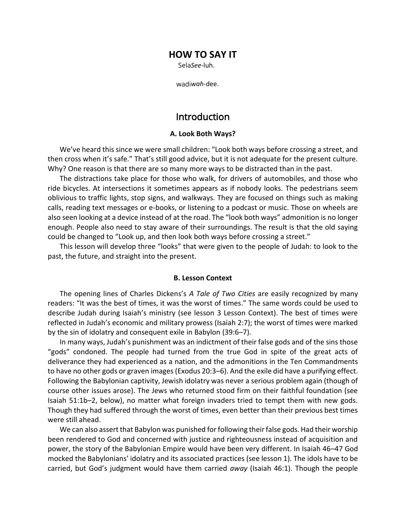## **HOW TO SAY IT**

Sela*See-*luh.

wadi*wah*-dee.

## Introduction

#### **A. Look Both Ways?**

We've heard this since we were small children: "Look both ways before crossing a street, and then cross when it's safe." That's still good advice, but it is not adequate for the present culture. Why? One reason is that there are so many more ways to be distracted than in the past.

The distractions take place for those who walk, for drivers of automobiles, and those who ride bicycles. At intersections it sometimes appears as if nobody looks. The pedestrians seem oblivious to traffic lights, stop signs, and walkways. They are focused on things such as making calls, reading text messages or e-books, or listening to a podcast or music. Those on wheels are also seen looking at a device instead of at the road. The "look both ways" admonition is no longer enough. People also need to stay aware of their surroundings. The result is that the old saying could be changed to "Look up, and then look both ways before crossing a street."

This lesson will develop three "looks" that were given to the people of Judah: to look to the past, the future, and straight into the present.

#### **B. Lesson Context**

The opening lines of Charles Dickens's *A Tale of Two Cities* are easily recognized by many readers: "It was the best of times, it was the worst of times." The same words could be used to describe Judah during Isaiah's ministry (see lesson 3 Lesson Context). The best of times were reflected in Judah's economic and military prowess (Isaiah 2:7); the worst of times were marked by the sin of idolatry and consequent exile in Babylon (39:6–7).

In many ways, Judah's punishment was an indictment of their false gods and of the sins those "gods" condoned. The people had turned from the true God in spite of the great acts of deliverance they had experienced as a nation, and the admonitions in the Ten Commandments to have no other gods or graven images (Exodus 20:3–6). And the exile did have a purifying effect. Following the Babylonian captivity, Jewish idolatry was never a serious problem again (though of course other issues arose). The Jews who returned stood firm on their faithful foundation (see Isaiah 51:1b–2, below), no matter what foreign invaders tried to tempt them with new gods. Though they had suffered through the worst of times, even better than their previous best times were still ahead.

We can also assert that Babylon was punished for following their false gods. Had their worship been rendered to God and concerned with justice and righteousness instead of acquisition and power, the story of the Babylonian Empire would have been very different. In Isaiah 46–47 God mocked the Babylonians' idolatry and its associated practices (see lesson 1). The idols have to be carried, but God's judgment would have them carried *away* (Isaiah 46:1). Though the people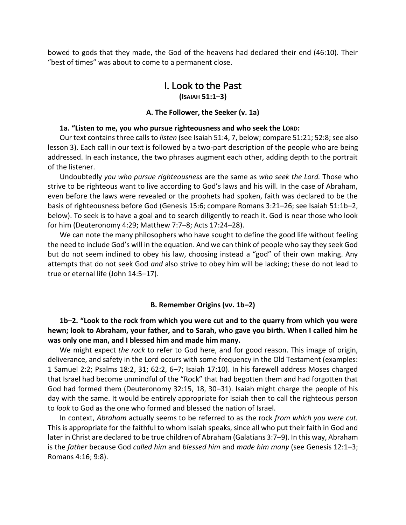bowed to gods that they made, the God of the heavens had declared their end (46:10). Their "best of times" was about to come to a permanent close.

## I. Look to the Past

**(ISAIAH 51:1–3)**

#### **A. The Follower, the Seeker (v. 1a)**

#### **1a. "Listen to me, you who pursue righteousness and who seek the LORD:**

Our text contains three calls to *listen* (see Isaiah 51:4, 7, below; compare 51:21; 52:8; see also lesson 3). Each call in our text is followed by a two-part description of the people who are being addressed. In each instance, the two phrases augment each other, adding depth to the portrait of the listener.

Undoubtedly *you who pursue righteousness* are the same as *who seek the Lord.* Those who strive to be righteous want to live according to God's laws and his will. In the case of Abraham, even before the laws were revealed or the prophets had spoken, faith was declared to be the basis of righteousness before God (Genesis 15:6; compare Romans 3:21–26; see Isaiah 51:1b–2, below). To seek is to have a goal and to search diligently to reach it. God is near those who look for him (Deuteronomy 4:29; Matthew 7:7–8; Acts 17:24–28).

We can note the many philosophers who have sought to define the good life without feeling the need to include God's will in the equation. And we can think of people who say they seek God but do not seem inclined to obey his law, choosing instead a "god" of their own making. Any attempts that do not seek God *and* also strive to obey him will be lacking; these do not lead to true or eternal life (John 14:5–17).

#### **B. Remember Origins (vv. 1b–2)**

**1b–2. "Look to the rock from which you were cut and to the quarry from which you were hewn; look to Abraham, your father, and to Sarah, who gave you birth. When I called him he was only one man, and I blessed him and made him many.**

We might expect *the rock* to refer to God here, and for good reason. This image of origin, deliverance, and safety in the Lord occurs with some frequency in the Old Testament (examples: 1 Samuel 2:2; Psalms 18:2, 31; 62:2, 6–7; Isaiah 17:10). In his farewell address Moses charged that Israel had become unmindful of the "Rock" that had begotten them and had forgotten that God had formed them (Deuteronomy 32:15, 18, 30–31). Isaiah might charge the people of his day with the same. It would be entirely appropriate for Isaiah then to call the righteous person to *look* to God as the one who formed and blessed the nation of Israel.

In context, *Abraham* actually seems to be referred to as the rock *from which you were cut.* This is appropriate for the faithful to whom Isaiah speaks, since all who put their faith in God and later in Christ are declared to be true children of Abraham (Galatians 3:7–9). In this way, Abraham is the *father* because God *called him* and *blessed him* and *made him many* (see Genesis 12:1–3; Romans 4:16; 9:8).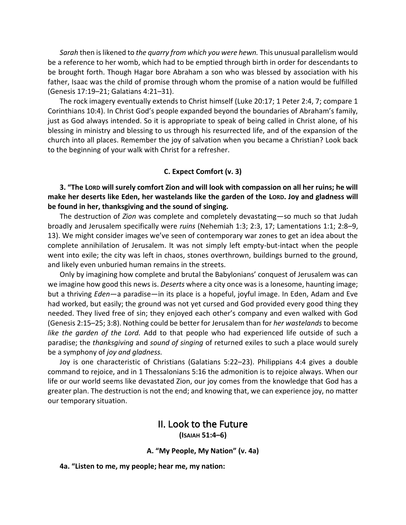*Sarah* then is likened to *the quarry from which you were hewn.* This unusual parallelism would be a reference to her womb, which had to be emptied through birth in order for descendants to be brought forth. Though Hagar bore Abraham a son who was blessed by association with his father, Isaac was the child of promise through whom the promise of a nation would be fulfilled (Genesis 17:19–21; Galatians 4:21–31).

The rock imagery eventually extends to Christ himself (Luke 20:17; 1 Peter 2:4, 7; compare 1 Corinthians 10:4). In Christ God's people expanded beyond the boundaries of Abraham's family, just as God always intended. So it is appropriate to speak of being called in Christ alone, of his blessing in ministry and blessing to us through his resurrected life, and of the expansion of the church into all places. Remember the joy of salvation when you became a Christian? Look back to the beginning of your walk with Christ for a refresher.

#### **C. Expect Comfort (v. 3)**

**3. "The LORD will surely comfort Zion and will look with compassion on all her ruins; he will make her deserts like Eden, her wastelands like the garden of the LORD. Joy and gladness will be found in her, thanksgiving and the sound of singing.**

The destruction of *Zion* was complete and completely devastating—so much so that Judah broadly and Jerusalem specifically were *ruins* (Nehemiah 1:3; 2:3, 17; Lamentations 1:1; 2:8–9, 13). We might consider images we've seen of contemporary war zones to get an idea about the complete annihilation of Jerusalem. It was not simply left empty-but-intact when the people went into exile; the city was left in chaos, stones overthrown, buildings burned to the ground, and likely even unburied human remains in the streets.

Only by imagining how complete and brutal the Babylonians' conquest of Jerusalem was can we imagine how good this news is. *Deserts* where a city once was is a lonesome, haunting image; but a thriving *Eden*—a paradise—in its place is a hopeful, joyful image. In Eden, Adam and Eve had worked, but easily; the ground was not yet cursed and God provided every good thing they needed. They lived free of sin; they enjoyed each other's company and even walked with God (Genesis 2:15–25; 3:8). Nothing could be better for Jerusalem than for *her wastelands* to become *like the garden of the Lord.* Add to that people who had experienced life outside of such a paradise; the *thanksgiving* and *sound of singing* of returned exiles to such a place would surely be a symphony of *joy and gladness.*

Joy is one characteristic of Christians (Galatians 5:22–23). Philippians 4:4 gives a double command to rejoice, and in 1 Thessalonians 5:16 the admonition is to rejoice always. When our life or our world seems like devastated Zion, our joy comes from the knowledge that God has a greater plan. The destruction is not the end; and knowing that, we can experience joy, no matter our temporary situation.

# II. Look to the Future

**(ISAIAH 51:4–6)**

**A. "My People, My Nation" (v. 4a)**

**4a. "Listen to me, my people; hear me, my nation:**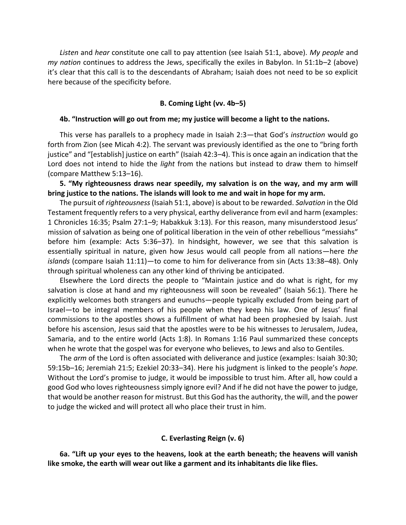*Listen* and *hear* constitute one call to pay attention (see Isaiah 51:1, above). *My people* and *my nation* continues to address the Jews, specifically the exiles in Babylon. In 51:1b–2 (above) it's clear that this call is to the descendants of Abraham; Isaiah does not need to be so explicit here because of the specificity before.

#### **B. Coming Light (vv. 4b–5)**

#### **4b. "Instruction will go out from me; my justice will become a light to the nations.**

This verse has parallels to a prophecy made in Isaiah 2:3—that God's *instruction* would go forth from Zion (see Micah 4:2). The servant was previously identified as the one to "bring forth justice" and "[establish] justice on earth" (Isaiah 42:3–4). This is once again an indication that the Lord does not intend to hide the *light* from the nations but instead to draw them to himself (compare Matthew 5:13–16).

**5. "My righteousness draws near speedily, my salvation is on the way, and my arm will bring justice to the nations. The islands will look to me and wait in hope for my arm.**

The pursuit of *righteousness* (Isaiah 51:1, above) is about to be rewarded. *Salvation* in the Old Testament frequently refers to a very physical, earthy deliverance from evil and harm (examples: 1 Chronicles 16:35; Psalm 27:1–9; Habakkuk 3:13). For this reason, many misunderstood Jesus' mission of salvation as being one of political liberation in the vein of other rebellious "messiahs" before him (example: Acts 5:36–37). In hindsight, however, we see that this salvation is essentially spiritual in nature, given how Jesus would call people from all nations—here *the islands* (compare Isaiah 11:11)—to come to him for deliverance from sin (Acts 13:38–48). Only through spiritual wholeness can any other kind of thriving be anticipated.

Elsewhere the Lord directs the people to "Maintain justice and do what is right, for my salvation is close at hand and my righteousness will soon be revealed" (Isaiah 56:1). There he explicitly welcomes both strangers and eunuchs—people typically excluded from being part of Israel—to be integral members of his people when they keep his law. One of Jesus' final commissions to the apostles shows a fulfillment of what had been prophesied by Isaiah. Just before his ascension, Jesus said that the apostles were to be his witnesses to Jerusalem, Judea, Samaria, and to the entire world (Acts 1:8). In Romans 1:16 Paul summarized these concepts when he wrote that the gospel was for everyone who believes, to Jews and also to Gentiles.

The *arm* of the Lord is often associated with deliverance and justice (examples: Isaiah 30:30; 59:15b–16; Jeremiah 21:5; Ezekiel 20:33–34). Here his judgment is linked to the people's *hope.* Without the Lord's promise to judge, it would be impossible to trust him. After all, how could a good God who loves righteousness simply ignore evil? And if he did not have the power to judge, that would be another reason for mistrust. But this God has the authority, the will, and the power to judge the wicked and will protect all who place their trust in him.

#### **C. Everlasting Reign (v. 6)**

**6a. "Lift up your eyes to the heavens, look at the earth beneath; the heavens will vanish like smoke, the earth will wear out like a garment and its inhabitants die like flies.**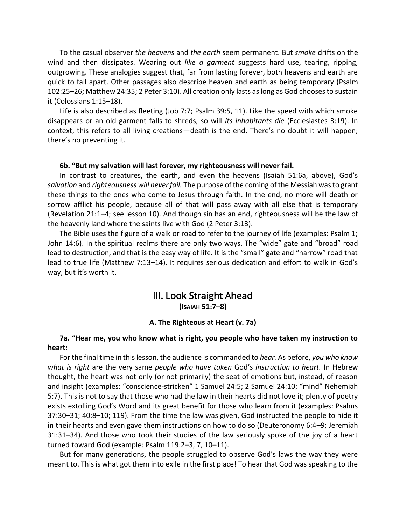To the casual observer *the heavens* and *the earth* seem permanent. But *smoke* drifts on the wind and then dissipates. Wearing out *like a garment* suggests hard use, tearing, ripping, outgrowing. These analogies suggest that, far from lasting forever, both heavens and earth are quick to fall apart. Other passages also describe heaven and earth as being temporary (Psalm 102:25–26; Matthew 24:35; 2 Peter 3:10). All creation only lasts as long as God chooses to sustain it (Colossians 1:15–18).

Life is also described as fleeting (Job 7:7; Psalm 39:5, 11). Like the speed with which smoke disappears or an old garment falls to shreds, so will *its inhabitants die* (Ecclesiastes 3:19). In context, this refers to all living creations—death is the end. There's no doubt it will happen; there's no preventing it.

#### **6b. "But my salvation will last forever, my righteousness will never fail.**

In contrast to creatures, the earth, and even the heavens (Isaiah 51:6a, above), God's *salvation* and *righteousness will never fail.* The purpose of the coming of the Messiah was to grant these things to the ones who come to Jesus through faith. In the end, no more will death or sorrow afflict his people, because all of that will pass away with all else that is temporary (Revelation 21:1–4; see lesson 10). And though sin has an end, righteousness will be the law of the heavenly land where the saints live with God (2 Peter 3:13).

The Bible uses the figure of a walk or road to refer to the journey of life (examples: Psalm 1; John 14:6). In the spiritual realms there are only two ways. The "wide" gate and "broad" road lead to destruction, and that is the easy way of life. It is the "small" gate and "narrow" road that lead to true life (Matthew 7:13–14). It requires serious dedication and effort to walk in God's way, but it's worth it.

## III. Look Straight Ahead **(ISAIAH 51:7–8)**

#### **A. The Righteous at Heart (v. 7a)**

### **7a. "Hear me, you who know what is right, you people who have taken my instruction to heart:**

For the final time in this lesson, the audience is commanded to *hear.* As before, *you who know what is right* are the very same *people who have taken* God's *instruction to heart.* In Hebrew thought, the heart was not only (or not primarily) the seat of emotions but, instead, of reason and insight (examples: "conscience-stricken" 1 Samuel 24:5; 2 Samuel 24:10; "mind" Nehemiah 5:7). This is not to say that those who had the law in their hearts did not love it; plenty of poetry exists extolling God's Word and its great benefit for those who learn from it (examples: Psalms 37:30–31; 40:8–10; 119). From the time the law was given, God instructed the people to hide it in their hearts and even gave them instructions on how to do so (Deuteronomy 6:4–9; Jeremiah 31:31–34). And those who took their studies of the law seriously spoke of the joy of a heart turned toward God (example: Psalm 119:2–3, 7, 10–11).

But for many generations, the people struggled to observe God's laws the way they were meant to. This is what got them into exile in the first place! To hear that God was speaking to the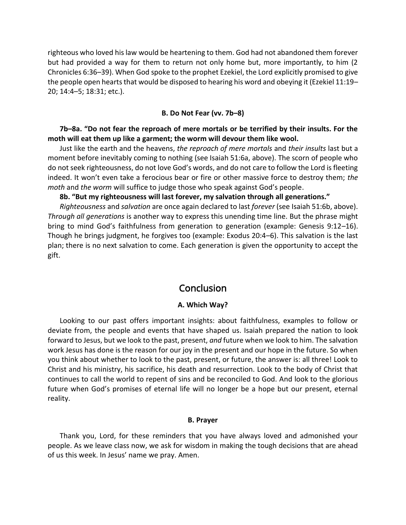righteous who loved his law would be heartening to them. God had not abandoned them forever but had provided a way for them to return not only home but, more importantly, to him (2 Chronicles 6:36–39). When God spoke to the prophet Ezekiel, the Lord explicitly promised to give the people open hearts that would be disposed to hearing his word and obeying it (Ezekiel 11:19– 20; 14:4–5; 18:31; etc.).

#### **B. Do Not Fear (vv. 7b–8)**

### **7b–8a. "Do not fear the reproach of mere mortals or be terrified by their insults. For the moth will eat them up like a garment; the worm will devour them like wool.**

Just like the earth and the heavens, *the reproach of mere mortals* and *their insults* last but a moment before inevitably coming to nothing (see Isaiah 51:6a, above). The scorn of people who do not seek righteousness, do not love God's words, and do not care to follow the Lord is fleeting indeed. It won't even take a ferocious bear or fire or other massive force to destroy them; *the moth* and *the worm* will suffice to judge those who speak against God's people.

#### **8b. "But my righteousness will last forever, my salvation through all generations."**

*Righteousness* and *salvation* are once again declared to last *forever* (see Isaiah 51:6b, above). *Through all generations* is another way to express this unending time line. But the phrase might bring to mind God's faithfulness from generation to generation (example: Genesis 9:12–16). Though he brings judgment, he forgives too (example: Exodus 20:4–6). This salvation is the last plan; there is no next salvation to come. Each generation is given the opportunity to accept the gift.

## Conclusion

#### **A. Which Way?**

Looking to our past offers important insights: about faithfulness, examples to follow or deviate from, the people and events that have shaped us. Isaiah prepared the nation to look forward to Jesus, but we look to the past, present, *and* future when we look to him. The salvation work Jesus has done is the reason for our joy in the present and our hope in the future. So when you think about whether to look to the past, present, or future, the answer is: all three! Look to Christ and his ministry, his sacrifice, his death and resurrection. Look to the body of Christ that continues to call the world to repent of sins and be reconciled to God. And look to the glorious future when God's promises of eternal life will no longer be a hope but our present, eternal reality.

#### **B. Prayer**

Thank you, Lord, for these reminders that you have always loved and admonished your people. As we leave class now, we ask for wisdom in making the tough decisions that are ahead of us this week. In Jesus' name we pray. Amen.